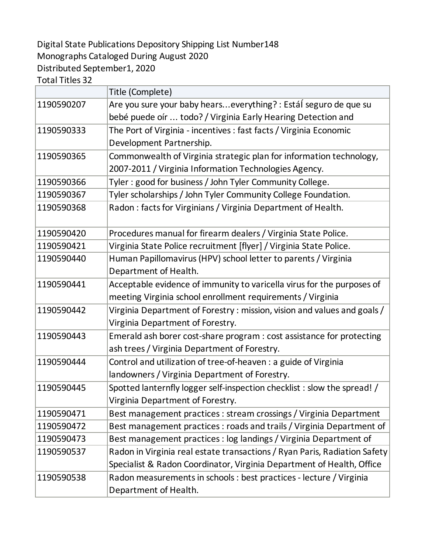## Digital State Publications Depository Shipping List Number148 Monographs Cataloged During August 2020 Distributed September1, 2020

Total Titles 32

|            | Title (Complete)                                                          |
|------------|---------------------------------------------------------------------------|
| 1190590207 | Are you sure your baby hearseverything? : Estál seguro de que su          |
|            | bebé puede oír  todo? / Virginia Early Hearing Detection and              |
| 1190590333 | The Port of Virginia - incentives : fast facts / Virginia Economic        |
|            | Development Partnership.                                                  |
| 1190590365 | Commonwealth of Virginia strategic plan for information technology,       |
|            | 2007-2011 / Virginia Information Technologies Agency.                     |
| 1190590366 | Tyler: good for business / John Tyler Community College.                  |
| 1190590367 | Tyler scholarships / John Tyler Community College Foundation.             |
| 1190590368 | Radon: facts for Virginians / Virginia Department of Health.              |
| 1190590420 | Procedures manual for firearm dealers / Virginia State Police.            |
| 1190590421 | Virginia State Police recruitment [flyer] / Virginia State Police.        |
| 1190590440 | Human Papillomavirus (HPV) school letter to parents / Virginia            |
|            | Department of Health.                                                     |
| 1190590441 | Acceptable evidence of immunity to varicella virus for the purposes of    |
|            | meeting Virginia school enrollment requirements / Virginia                |
| 1190590442 | Virginia Department of Forestry: mission, vision and values and goals /   |
|            | Virginia Department of Forestry.                                          |
| 1190590443 | Emerald ash borer cost-share program : cost assistance for protecting     |
|            | ash trees / Virginia Department of Forestry.                              |
| 1190590444 | Control and utilization of tree-of-heaven : a guide of Virginia           |
|            | landowners / Virginia Department of Forestry.                             |
| 1190590445 | Spotted lanternfly logger self-inspection checklist : slow the spread! /  |
|            | Virginia Department of Forestry.                                          |
| 1190590471 | Best management practices : stream crossings / Virginia Department        |
| 1190590472 | Best management practices : roads and trails / Virginia Department of     |
| 1190590473 | Best management practices : log landings / Virginia Department of         |
| 1190590537 | Radon in Virginia real estate transactions / Ryan Paris, Radiation Safety |
|            | Specialist & Radon Coordinator, Virginia Department of Health, Office     |
| 1190590538 | Radon measurements in schools : best practices - lecture / Virginia       |
|            | Department of Health.                                                     |